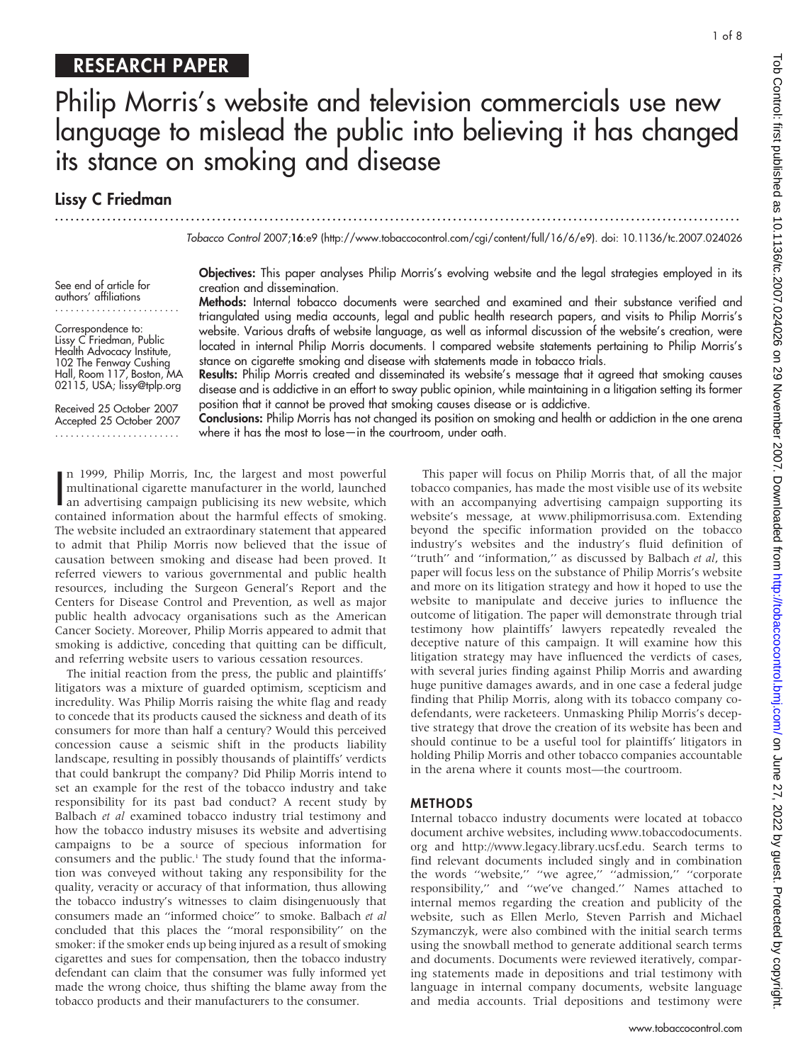## RESEARCH PAPER

# Philip Morris's website and television commercials use new language to mislead the public into believing it has changed its stance on smoking and disease

...................................................................................................................................

### Lissy C Friedman

Tobacco Control 2007;16:e9 (http://www.tobaccocontrol.com/cgi/content/full/16/6/e9). doi: 10.1136/tc.2007.024026

See end of article for authors' affiliations ........................

Correspondence to: Lissy C Friedman, Public Health Advocacy Institute, 102 The Fenway Cushing Hall, Room 117, Boston, MA 02115, USA; lissy@tplp.org

Received 25 October 2007 Accepted 25 October 2007 ........................

Objectives: This paper analyses Philip Morris's evolving website and the legal strategies employed in its creation and dissemination.

Methods: Internal tobacco documents were searched and examined and their substance verified and triangulated using media accounts, legal and public health research papers, and visits to Philip Morris's website. Various drafts of website language, as well as informal discussion of the website's creation, were located in internal Philip Morris documents. I compared website statements pertaining to Philip Morris's stance on cigarette smoking and disease with statements made in tobacco trials.

Results: Philip Morris created and disseminated its website's message that it agreed that smoking causes disease and is addictive in an effort to sway public opinion, while maintaining in a litigation setting its former position that it cannot be proved that smoking causes disease or is addictive.

Conclusions: Philip Morris has not changed its position on smoking and health or addiction in the one arena where it has the most to lose—in the courtroom, under oath.

In 1999, Philip Morris, Inc, the largest and most powerful<br>
multinational cigarette manufacturer in the world, launched<br>
an advertising campaign publicising its new website, which<br>
contained information about the harmful e n 1999, Philip Morris, Inc, the largest and most powerful multinational cigarette manufacturer in the world, launched an advertising campaign publicising its new website, which The website included an extraordinary statement that appeared to admit that Philip Morris now believed that the issue of causation between smoking and disease had been proved. It referred viewers to various governmental and public health resources, including the Surgeon General's Report and the Centers for Disease Control and Prevention, as well as major public health advocacy organisations such as the American Cancer Society. Moreover, Philip Morris appeared to admit that smoking is addictive, conceding that quitting can be difficult, and referring website users to various cessation resources.

The initial reaction from the press, the public and plaintiffs' litigators was a mixture of guarded optimism, scepticism and incredulity. Was Philip Morris raising the white flag and ready to concede that its products caused the sickness and death of its consumers for more than half a century? Would this perceived concession cause a seismic shift in the products liability landscape, resulting in possibly thousands of plaintiffs' verdicts that could bankrupt the company? Did Philip Morris intend to set an example for the rest of the tobacco industry and take responsibility for its past bad conduct? A recent study by Balbach et al examined tobacco industry trial testimony and how the tobacco industry misuses its website and advertising campaigns to be a source of specious information for consumers and the public.<sup>1</sup> The study found that the information was conveyed without taking any responsibility for the quality, veracity or accuracy of that information, thus allowing the tobacco industry's witnesses to claim disingenuously that consumers made an ''informed choice'' to smoke. Balbach et al concluded that this places the ''moral responsibility'' on the smoker: if the smoker ends up being injured as a result of smoking cigarettes and sues for compensation, then the tobacco industry defendant can claim that the consumer was fully informed yet made the wrong choice, thus shifting the blame away from the tobacco products and their manufacturers to the consumer.

This paper will focus on Philip Morris that, of all the major tobacco companies, has made the most visible use of its website with an accompanying advertising campaign supporting its website's message, at www.philipmorrisusa.com. Extending beyond the specific information provided on the tobacco industry's websites and the industry's fluid definition of "truth" and "information," as discussed by Balbach et al, this paper will focus less on the substance of Philip Morris's website and more on its litigation strategy and how it hoped to use the website to manipulate and deceive juries to influence the outcome of litigation. The paper will demonstrate through trial testimony how plaintiffs' lawyers repeatedly revealed the deceptive nature of this campaign. It will examine how this litigation strategy may have influenced the verdicts of cases, with several juries finding against Philip Morris and awarding huge punitive damages awards, and in one case a federal judge finding that Philip Morris, along with its tobacco company codefendants, were racketeers. Unmasking Philip Morris's deceptive strategy that drove the creation of its website has been and should continue to be a useful tool for plaintiffs' litigators in holding Philip Morris and other tobacco companies accountable in the arena where it counts most—the courtroom.

#### METHODS

Internal tobacco industry documents were located at tobacco document archive websites, including www.tobaccodocuments. org and http://www.legacy.library.ucsf.edu. Search terms to find relevant documents included singly and in combination the words ''website,'' ''we agree,'' ''admission,'' ''corporate responsibility,'' and ''we've changed.'' Names attached to internal memos regarding the creation and publicity of the website, such as Ellen Merlo, Steven Parrish and Michael Szymanczyk, were also combined with the initial search terms using the snowball method to generate additional search terms and documents. Documents were reviewed iteratively, comparing statements made in depositions and trial testimony with language in internal company documents, website language and media accounts. Trial depositions and testimony were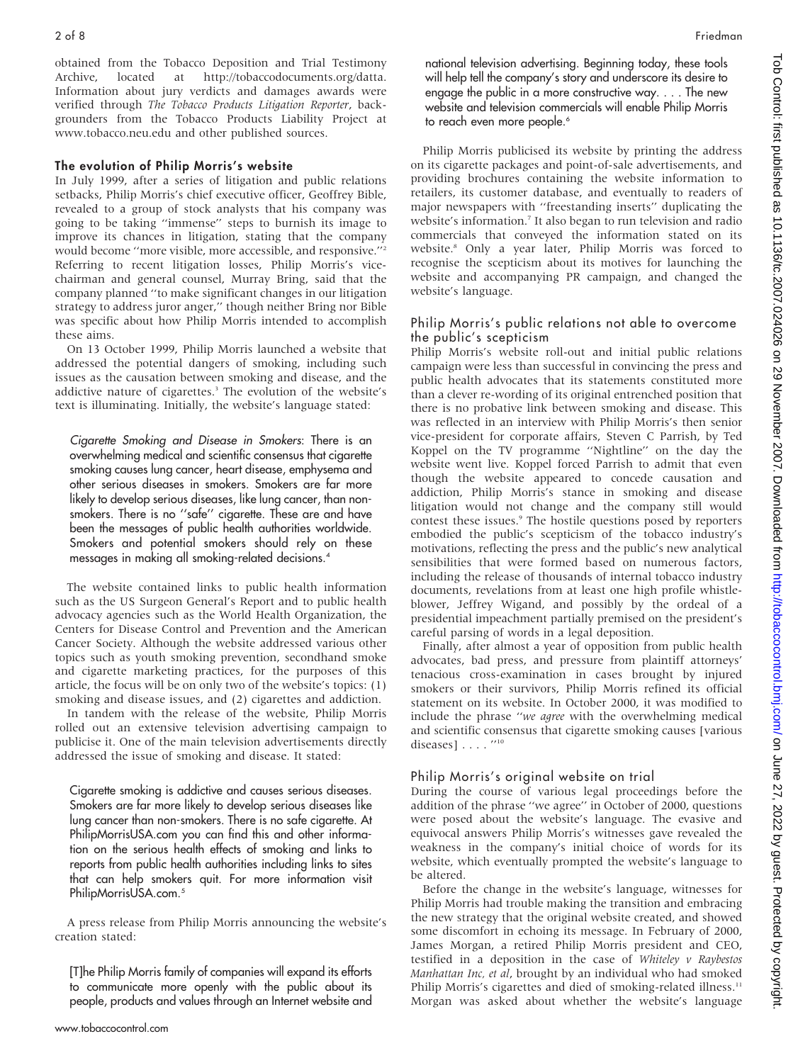obtained from the Tobacco Deposition and Trial Testimony Archive, located at http://tobaccodocuments.org/datta. Information about jury verdicts and damages awards were verified through The Tobacco Products Litigation Reporter, backgrounders from the Tobacco Products Liability Project at www.tobacco.neu.edu and other published sources.

#### The evolution of Philip Morris's website

In July 1999, after a series of litigation and public relations setbacks, Philip Morris's chief executive officer, Geoffrey Bible, revealed to a group of stock analysts that his company was going to be taking ''immense'' steps to burnish its image to improve its chances in litigation, stating that the company would become ''more visible, more accessible, and responsive.''2 Referring to recent litigation losses, Philip Morris's vicechairman and general counsel, Murray Bring, said that the company planned ''to make significant changes in our litigation strategy to address juror anger,'' though neither Bring nor Bible was specific about how Philip Morris intended to accomplish these aims.

On 13 October 1999, Philip Morris launched a website that addressed the potential dangers of smoking, including such issues as the causation between smoking and disease, and the addictive nature of cigarettes.<sup>3</sup> The evolution of the website's text is illuminating. Initially, the website's language stated:

Cigarette Smoking and Disease in Smokers: There is an overwhelming medical and scientific consensus that cigarette smoking causes lung cancer, heart disease, emphysema and other serious diseases in smokers. Smokers are far more likely to develop serious diseases, like lung cancer, than nonsmokers. There is no ''safe'' cigarette. These are and have been the messages of public health authorities worldwide. Smokers and potential smokers should rely on these messages in making all smoking-related decisions.4

The website contained links to public health information such as the US Surgeon General's Report and to public health advocacy agencies such as the World Health Organization, the Centers for Disease Control and Prevention and the American Cancer Society. Although the website addressed various other topics such as youth smoking prevention, secondhand smoke and cigarette marketing practices, for the purposes of this article, the focus will be on only two of the website's topics: (1) smoking and disease issues, and (2) cigarettes and addiction.

In tandem with the release of the website, Philip Morris rolled out an extensive television advertising campaign to publicise it. One of the main television advertisements directly addressed the issue of smoking and disease. It stated:

Cigarette smoking is addictive and causes serious diseases. Smokers are far more likely to develop serious diseases like lung cancer than non-smokers. There is no safe cigarette. At PhilipMorrisUSA.com you can find this and other information on the serious health effects of smoking and links to reports from public health authorities including links to sites that can help smokers quit. For more information visit PhilipMorrisUSA.com.<sup>5</sup>

A press release from Philip Morris announcing the website's creation stated:

[T]he Philip Morris family of companies will expand its efforts to communicate more openly with the public about its people, products and values through an Internet website and national television advertising. Beginning today, these tools will help tell the company's story and underscore its desire to engage the public in a more constructive way. . . . The new website and television commercials will enable Philip Morris to reach even more people.<sup>6</sup>

Philip Morris publicised its website by printing the address on its cigarette packages and point-of-sale advertisements, and providing brochures containing the website information to retailers, its customer database, and eventually to readers of major newspapers with ''freestanding inserts'' duplicating the website's information.<sup>7</sup> It also began to run television and radio commercials that conveyed the information stated on its website.<sup>8</sup> Only a year later, Philip Morris was forced to recognise the scepticism about its motives for launching the website and accompanying PR campaign, and changed the website's language.

#### Philip Morris's public relations not able to overcome the public's scepticism

Philip Morris's website roll-out and initial public relations campaign were less than successful in convincing the press and public health advocates that its statements constituted more than a clever re-wording of its original entrenched position that there is no probative link between smoking and disease. This was reflected in an interview with Philip Morris's then senior vice-president for corporate affairs, Steven C Parrish, by Ted Koppel on the TV programme ''Nightline'' on the day the website went live. Koppel forced Parrish to admit that even though the website appeared to concede causation and addiction, Philip Morris's stance in smoking and disease litigation would not change and the company still would contest these issues.<sup>9</sup> The hostile questions posed by reporters embodied the public's scepticism of the tobacco industry's motivations, reflecting the press and the public's new analytical sensibilities that were formed based on numerous factors, including the release of thousands of internal tobacco industry documents, revelations from at least one high profile whistleblower, Jeffrey Wigand, and possibly by the ordeal of a presidential impeachment partially premised on the president's careful parsing of words in a legal deposition.

Finally, after almost a year of opposition from public health advocates, bad press, and pressure from plaintiff attorneys' tenacious cross-examination in cases brought by injured smokers or their survivors, Philip Morris refined its official statement on its website. In October 2000, it was modified to include the phrase ''we agree with the overwhelming medical and scientific consensus that cigarette smoking causes [various diseases] . . . . "<sup>10</sup>

#### Philip Morris's original website on trial

During the course of various legal proceedings before the addition of the phrase ''we agree'' in October of 2000, questions were posed about the website's language. The evasive and equivocal answers Philip Morris's witnesses gave revealed the weakness in the company's initial choice of words for its website, which eventually prompted the website's language to be altered.

Before the change in the website's language, witnesses for Philip Morris had trouble making the transition and embracing the new strategy that the original website created, and showed some discomfort in echoing its message. In February of 2000, James Morgan, a retired Philip Morris president and CEO, testified in a deposition in the case of Whiteley v Raybestos Manhattan Inc, et al, brought by an individual who had smoked Philip Morris's cigarettes and died of smoking-related illness.<sup>11</sup> Morgan was asked about whether the website's language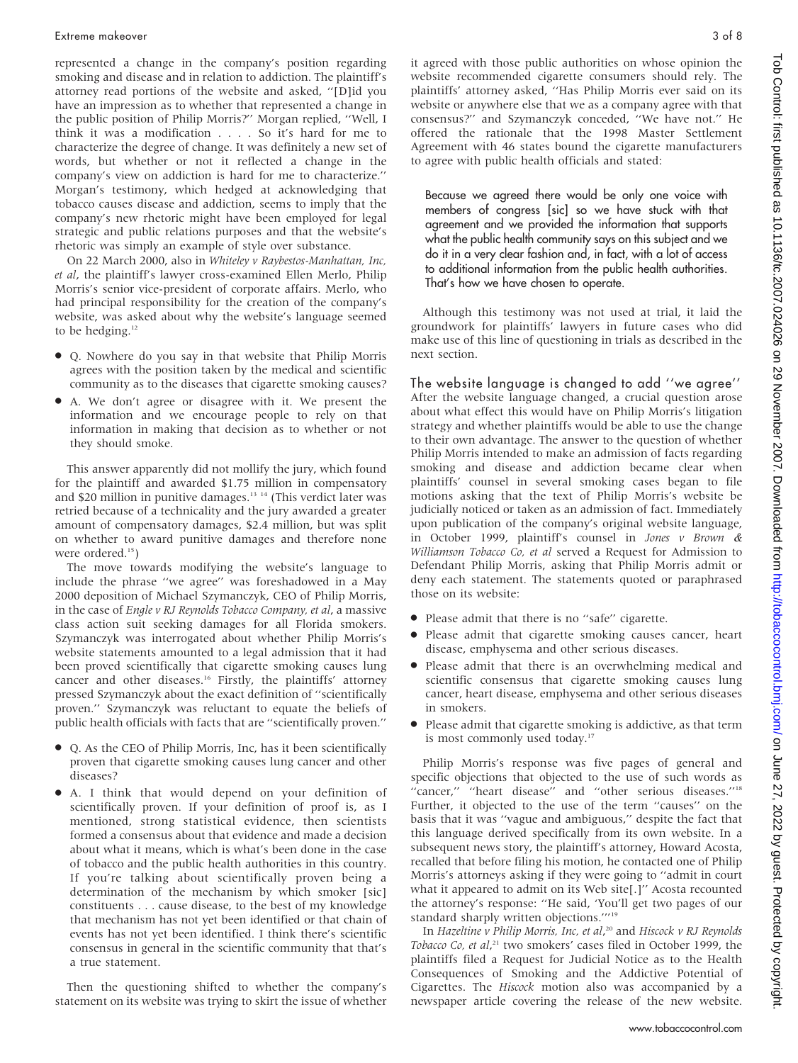#### Extreme makeover 3 of 8

represented a change in the company's position regarding smoking and disease and in relation to addiction. The plaintiff's attorney read portions of the website and asked, ''[D]id you have an impression as to whether that represented a change in the public position of Philip Morris?'' Morgan replied, ''Well, I think it was a modification . . . . So it's hard for me to characterize the degree of change. It was definitely a new set of words, but whether or not it reflected a change in the company's view on addiction is hard for me to characterize.'' Morgan's testimony, which hedged at acknowledging that tobacco causes disease and addiction, seems to imply that the company's new rhetoric might have been employed for legal strategic and public relations purposes and that the website's rhetoric was simply an example of style over substance.

On 22 March 2000, also in Whiteley v Raybestos-Manhattan, Inc, et al, the plaintiff's lawyer cross-examined Ellen Merlo, Philip Morris's senior vice-president of corporate affairs. Merlo, who had principal responsibility for the creation of the company's website, was asked about why the website's language seemed to be hedging.<sup>12</sup>

- N Q. Nowhere do you say in that website that Philip Morris agrees with the position taken by the medical and scientific community as to the diseases that cigarette smoking causes?
- N A. We don't agree or disagree with it. We present the information and we encourage people to rely on that information in making that decision as to whether or not they should smoke.

This answer apparently did not mollify the jury, which found for the plaintiff and awarded \$1.75 million in compensatory and \$20 million in punitive damages.<sup>13</sup> <sup>14</sup> (This verdict later was retried because of a technicality and the jury awarded a greater amount of compensatory damages, \$2.4 million, but was split on whether to award punitive damages and therefore none were ordered.<sup>15</sup>)

The move towards modifying the website's language to include the phrase ''we agree'' was foreshadowed in a May 2000 deposition of Michael Szymanczyk, CEO of Philip Morris, in the case of Engle v RJ Reynolds Tobacco Company, et al, a massive class action suit seeking damages for all Florida smokers. Szymanczyk was interrogated about whether Philip Morris's website statements amounted to a legal admission that it had been proved scientifically that cigarette smoking causes lung cancer and other diseases.<sup>16</sup> Firstly, the plaintiffs' attorney pressed Szymanczyk about the exact definition of ''scientifically proven.'' Szymanczyk was reluctant to equate the beliefs of public health officials with facts that are ''scientifically proven.''

- N Q. As the CEO of Philip Morris, Inc, has it been scientifically proven that cigarette smoking causes lung cancer and other diseases?
- A. I think that would depend on your definition of scientifically proven. If your definition of proof is, as I mentioned, strong statistical evidence, then scientists formed a consensus about that evidence and made a decision about what it means, which is what's been done in the case of tobacco and the public health authorities in this country. If you're talking about scientifically proven being a determination of the mechanism by which smoker [sic] constituents . . . cause disease, to the best of my knowledge that mechanism has not yet been identified or that chain of events has not yet been identified. I think there's scientific consensus in general in the scientific community that that's a true statement.

Then the questioning shifted to whether the company's statement on its website was trying to skirt the issue of whether it agreed with those public authorities on whose opinion the website recommended cigarette consumers should rely. The plaintiffs' attorney asked, ''Has Philip Morris ever said on its website or anywhere else that we as a company agree with that consensus?'' and Szymanczyk conceded, ''We have not.'' He offered the rationale that the 1998 Master Settlement Agreement with 46 states bound the cigarette manufacturers to agree with public health officials and stated:

Because we agreed there would be only one voice with members of congress [sic] so we have stuck with that agreement and we provided the information that supports what the public health community says on this subject and we do it in a very clear fashion and, in fact, with a lot of access to additional information from the public health authorities. That's how we have chosen to operate.

Although this testimony was not used at trial, it laid the groundwork for plaintiffs' lawyers in future cases who did make use of this line of questioning in trials as described in the next section.

The website language is changed to add ''we agree'' After the website language changed, a crucial question arose about what effect this would have on Philip Morris's litigation strategy and whether plaintiffs would be able to use the change to their own advantage. The answer to the question of whether Philip Morris intended to make an admission of facts regarding smoking and disease and addiction became clear when plaintiffs' counsel in several smoking cases began to file motions asking that the text of Philip Morris's website be judicially noticed or taken as an admission of fact. Immediately upon publication of the company's original website language, in October 1999, plaintiff's counsel in Jones v Brown & Williamson Tobacco Co, et al served a Request for Admission to Defendant Philip Morris, asking that Philip Morris admit or deny each statement. The statements quoted or paraphrased those on its website:

- N Please admit that there is no ''safe'' cigarette.
- N Please admit that cigarette smoking causes cancer, heart disease, emphysema and other serious diseases.
- Please admit that there is an overwhelming medical and scientific consensus that cigarette smoking causes lung cancer, heart disease, emphysema and other serious diseases in smokers.
- N Please admit that cigarette smoking is addictive, as that term is most commonly used today.<sup>17</sup>

Philip Morris's response was five pages of general and specific objections that objected to the use of such words as "cancer," "heart disease" and "other serious diseases."<sup>18</sup> Further, it objected to the use of the term ''causes'' on the basis that it was ''vague and ambiguous,'' despite the fact that this language derived specifically from its own website. In a subsequent news story, the plaintiff's attorney, Howard Acosta, recalled that before filing his motion, he contacted one of Philip Morris's attorneys asking if they were going to ''admit in court what it appeared to admit on its Web site[.]'' Acosta recounted the attorney's response: ''He said, 'You'll get two pages of our standard sharply written objections.'''19

In Hazeltine v Philip Morris, Inc, et al, <sup>20</sup> and Hiscock v RJ Reynolds Tobacco Co, et al,<sup>21</sup> two smokers' cases filed in October 1999, the plaintiffs filed a Request for Judicial Notice as to the Health Consequences of Smoking and the Addictive Potential of Cigarettes. The Hiscock motion also was accompanied by a newspaper article covering the release of the new website.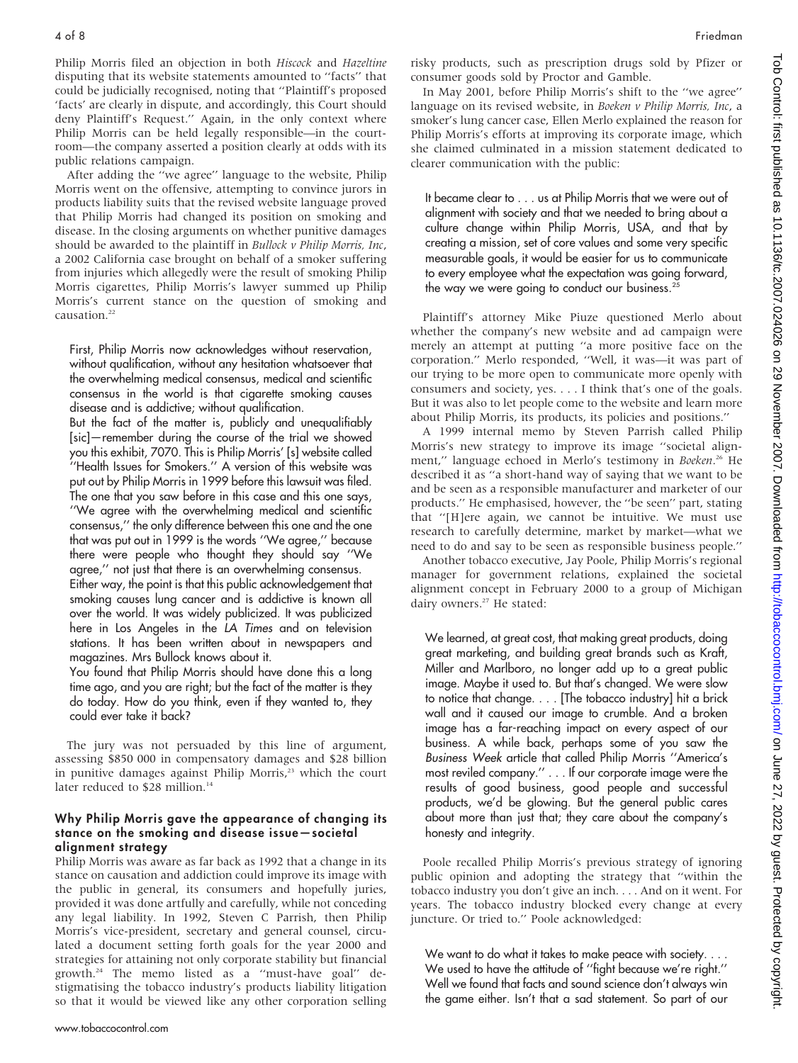Philip Morris filed an objection in both Hiscock and Hazeltine disputing that its website statements amounted to ''facts'' that could be judicially recognised, noting that ''Plaintiff's proposed 'facts' are clearly in dispute, and accordingly, this Court should deny Plaintiff's Request.'' Again, in the only context where Philip Morris can be held legally responsible—in the courtroom—the company asserted a position clearly at odds with its public relations campaign.

After adding the ''we agree'' language to the website, Philip Morris went on the offensive, attempting to convince jurors in products liability suits that the revised website language proved that Philip Morris had changed its position on smoking and disease. In the closing arguments on whether punitive damages should be awarded to the plaintiff in Bullock v Philip Morris, Inc, a 2002 California case brought on behalf of a smoker suffering from injuries which allegedly were the result of smoking Philip Morris cigarettes, Philip Morris's lawyer summed up Philip Morris's current stance on the question of smoking and causation.<sup>22</sup>

First, Philip Morris now acknowledges without reservation, without qualification, without any hesitation whatsoever that the overwhelming medical consensus, medical and scientific consensus in the world is that cigarette smoking causes disease and is addictive; without qualification.

But the fact of the matter is, publicly and unequalifiably [sic]—remember during the course of the trial we showed you this exhibit, 7070. This is Philip Morris' [s] website called ''Health Issues for Smokers.'' A version of this website was put out by Philip Morris in 1999 before this lawsuit was filed. The one that you saw before in this case and this one says, ''We agree with the overwhelming medical and scientific consensus,'' the only difference between this one and the one that was put out in 1999 is the words ''We agree,'' because there were people who thought they should say ''We agree,'' not just that there is an overwhelming consensus.

Either way, the point is that this public acknowledgement that smoking causes lung cancer and is addictive is known all over the world. It was widely publicized. It was publicized here in Los Angeles in the LA Times and on television stations. It has been written about in newspapers and magazines. Mrs Bullock knows about it.

You found that Philip Morris should have done this a long time ago, and you are right; but the fact of the matter is they do today. How do you think, even if they wanted to, they could ever take it back?

The jury was not persuaded by this line of argument, assessing \$850 000 in compensatory damages and \$28 billion in punitive damages against Philip Morris, $23$  which the court later reduced to \$28 million.<sup>14</sup>

#### Why Philip Morris gave the appearance of changing its stance on the smoking and disease issue—societal alignment strategy

Philip Morris was aware as far back as 1992 that a change in its stance on causation and addiction could improve its image with the public in general, its consumers and hopefully juries, provided it was done artfully and carefully, while not conceding any legal liability. In 1992, Steven C Parrish, then Philip Morris's vice-president, secretary and general counsel, circulated a document setting forth goals for the year 2000 and strategies for attaining not only corporate stability but financial growth.24 The memo listed as a ''must-have goal'' destigmatising the tobacco industry's products liability litigation so that it would be viewed like any other corporation selling

In May 2001, before Philip Morris's shift to the ''we agree'' language on its revised website, in Boeken v Philip Morris, Inc, a smoker's lung cancer case, Ellen Merlo explained the reason for Philip Morris's efforts at improving its corporate image, which she claimed culminated in a mission statement dedicated to clearer communication with the public:

It became clear to . . . us at Philip Morris that we were out of alignment with society and that we needed to bring about a culture change within Philip Morris, USA, and that by creating a mission, set of core values and some very specific measurable goals, it would be easier for us to communicate to every employee what the expectation was going forward, the way we were going to conduct our business.<sup>25</sup>

Plaintiff's attorney Mike Piuze questioned Merlo about whether the company's new website and ad campaign were merely an attempt at putting ''a more positive face on the corporation.'' Merlo responded, ''Well, it was—it was part of our trying to be more open to communicate more openly with consumers and society, yes. . . . I think that's one of the goals. But it was also to let people come to the website and learn more about Philip Morris, its products, its policies and positions.''

A 1999 internal memo by Steven Parrish called Philip Morris's new strategy to improve its image ''societal alignment," language echoed in Merlo's testimony in Boeken.<sup>26</sup> He described it as ''a short-hand way of saying that we want to be and be seen as a responsible manufacturer and marketer of our products.'' He emphasised, however, the ''be seen'' part, stating that ''[H]ere again, we cannot be intuitive. We must use research to carefully determine, market by market—what we need to do and say to be seen as responsible business people.''

Another tobacco executive, Jay Poole, Philip Morris's regional manager for government relations, explained the societal alignment concept in February 2000 to a group of Michigan dairy owners.<sup>27</sup> He stated:

We learned, at great cost, that making great products, doing great marketing, and building great brands such as Kraft, Miller and Marlboro, no longer add up to a great public image. Maybe it used to. But that's changed. We were slow to notice that change. . . . [The tobacco industry] hit a brick wall and it caused our image to crumble. And a broken image has a far-reaching impact on every aspect of our business. A while back, perhaps some of you saw the Business Week article that called Philip Morris ''America's most reviled company.'' . . . If our corporate image were the results of good business, good people and successful products, we'd be glowing. But the general public cares about more than just that; they care about the company's honesty and integrity.

Poole recalled Philip Morris's previous strategy of ignoring public opinion and adopting the strategy that ''within the tobacco industry you don't give an inch. . . . And on it went. For years. The tobacco industry blocked every change at every juncture. Or tried to.'' Poole acknowledged:

We want to do what it takes to make peace with society. . . . We used to have the attitude of ''fight because we're right.'' Well we found that facts and sound science don't always win the game either. Isn't that a sad statement. So part of our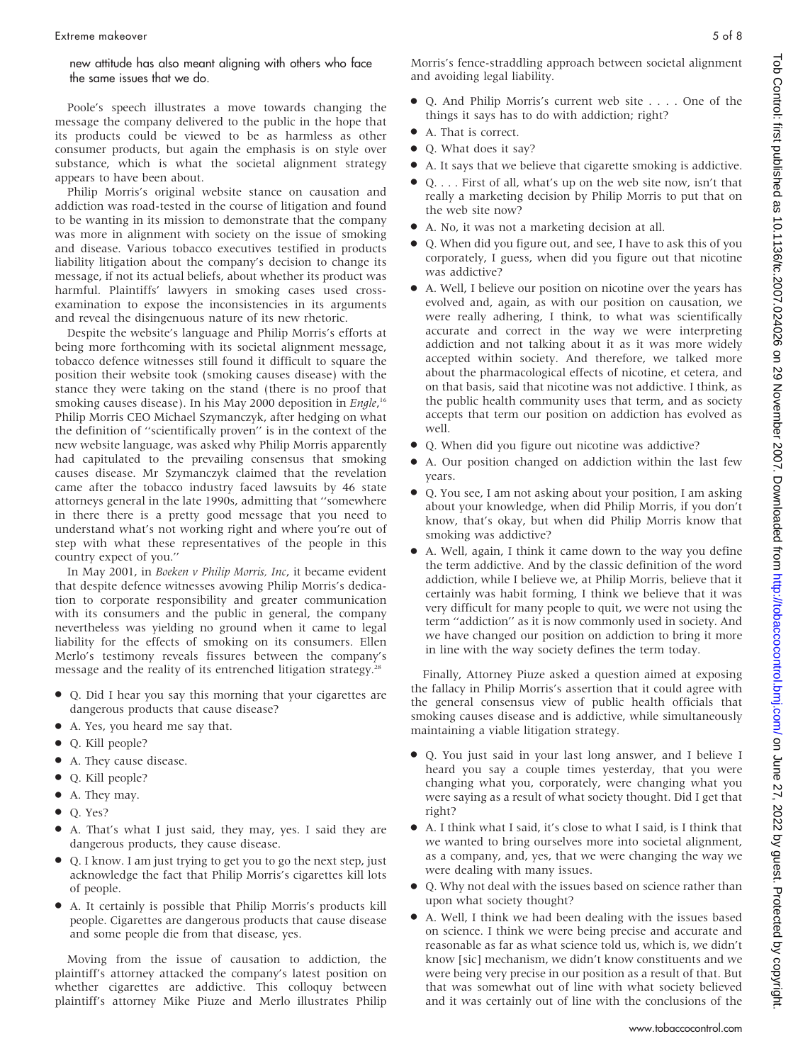new attitude has also meant aligning with others who face the same issues that we do.

Poole's speech illustrates a move towards changing the message the company delivered to the public in the hope that its products could be viewed to be as harmless as other consumer products, but again the emphasis is on style over substance, which is what the societal alignment strategy appears to have been about.

Philip Morris's original website stance on causation and addiction was road-tested in the course of litigation and found to be wanting in its mission to demonstrate that the company was more in alignment with society on the issue of smoking and disease. Various tobacco executives testified in products liability litigation about the company's decision to change its message, if not its actual beliefs, about whether its product was harmful. Plaintiffs' lawyers in smoking cases used crossexamination to expose the inconsistencies in its arguments and reveal the disingenuous nature of its new rhetoric.

Despite the website's language and Philip Morris's efforts at being more forthcoming with its societal alignment message, tobacco defence witnesses still found it difficult to square the position their website took (smoking causes disease) with the stance they were taking on the stand (there is no proof that smoking causes disease). In his May 2000 deposition in Engle,<sup>16</sup> Philip Morris CEO Michael Szymanczyk, after hedging on what the definition of ''scientifically proven'' is in the context of the new website language, was asked why Philip Morris apparently had capitulated to the prevailing consensus that smoking causes disease. Mr Szymanczyk claimed that the revelation came after the tobacco industry faced lawsuits by 46 state attorneys general in the late 1990s, admitting that ''somewhere in there there is a pretty good message that you need to understand what's not working right and where you're out of step with what these representatives of the people in this country expect of you.''

In May 2001, in Boeken v Philip Morris, Inc, it became evident that despite defence witnesses avowing Philip Morris's dedication to corporate responsibility and greater communication with its consumers and the public in general, the company nevertheless was yielding no ground when it came to legal liability for the effects of smoking on its consumers. Ellen Merlo's testimony reveals fissures between the company's message and the reality of its entrenched litigation strategy.<sup>28</sup>

- Q. Did I hear you say this morning that your cigarettes are dangerous products that cause disease?
- A. Yes, you heard me say that.
- $\bullet$  Q. Kill people?
- A. They cause disease.
- Q. Kill people?
- A. They may.
- $\bullet$  Q. Yes?
- A. That's what I just said, they may, yes. I said they are dangerous products, they cause disease.
- N Q. I know. I am just trying to get you to go the next step, just acknowledge the fact that Philip Morris's cigarettes kill lots of people.
- N A. It certainly is possible that Philip Morris's products kill people. Cigarettes are dangerous products that cause disease and some people die from that disease, yes.

Moving from the issue of causation to addiction, the plaintiff's attorney attacked the company's latest position on whether cigarettes are addictive. This colloquy between plaintiff's attorney Mike Piuze and Merlo illustrates Philip

Morris's fence-straddling approach between societal alignment and avoiding legal liability.

- N Q. And Philip Morris's current web site . . . . One of the things it says has to do with addiction; right?
- A. That is correct.
- O. What does it say?
- N A. It says that we believe that cigarette smoking is addictive.
- $Q_{\cdots}$ . First of all, what's up on the web site now, isn't that really a marketing decision by Philip Morris to put that on the web site now?
- A. No, it was not a marketing decision at all.
- Q. When did you figure out, and see, I have to ask this of you corporately, I guess, when did you figure out that nicotine was addictive?
- A. Well, I believe our position on nicotine over the years has evolved and, again, as with our position on causation, we were really adhering, I think, to what was scientifically accurate and correct in the way we were interpreting addiction and not talking about it as it was more widely accepted within society. And therefore, we talked more about the pharmacological effects of nicotine, et cetera, and on that basis, said that nicotine was not addictive. I think, as the public health community uses that term, and as society accepts that term our position on addiction has evolved as well.
- Q. When did you figure out nicotine was addictive?
- N A. Our position changed on addiction within the last few years.
- N Q. You see, I am not asking about your position, I am asking about your knowledge, when did Philip Morris, if you don't know, that's okay, but when did Philip Morris know that smoking was addictive?
- A. Well, again, I think it came down to the way you define the term addictive. And by the classic definition of the word addiction, while I believe we, at Philip Morris, believe that it certainly was habit forming, I think we believe that it was very difficult for many people to quit, we were not using the term ''addiction'' as it is now commonly used in society. And we have changed our position on addiction to bring it more in line with the way society defines the term today.

Finally, Attorney Piuze asked a question aimed at exposing the fallacy in Philip Morris's assertion that it could agree with the general consensus view of public health officials that smoking causes disease and is addictive, while simultaneously maintaining a viable litigation strategy.

- N Q. You just said in your last long answer, and I believe I heard you say a couple times yesterday, that you were changing what you, corporately, were changing what you were saying as a result of what society thought. Did I get that right?
- N A. I think what I said, it's close to what I said, is I think that we wanted to bring ourselves more into societal alignment, as a company, and, yes, that we were changing the way we were dealing with many issues.
- Q. Why not deal with the issues based on science rather than upon what society thought?
- A. Well, I think we had been dealing with the issues based on science. I think we were being precise and accurate and reasonable as far as what science told us, which is, we didn't know [sic] mechanism, we didn't know constituents and we were being very precise in our position as a result of that. But that was somewhat out of line with what society believed and it was certainly out of line with the conclusions of the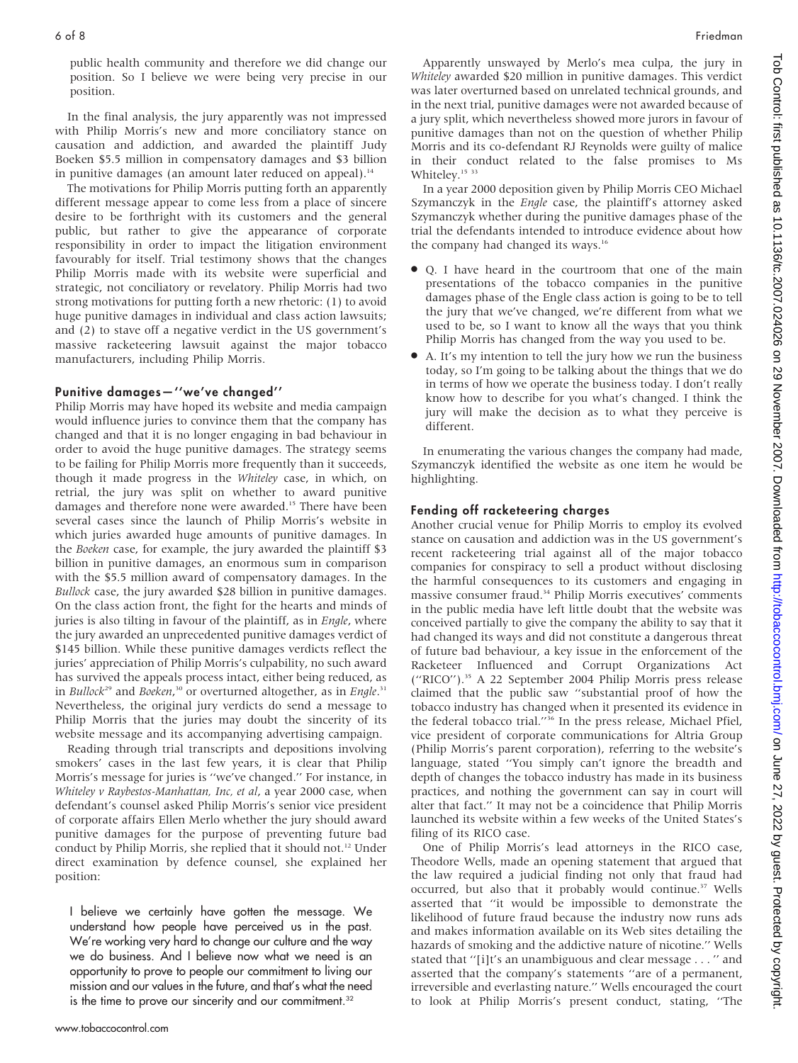public health community and therefore we did change our position. So I believe we were being very precise in our position.

In the final analysis, the jury apparently was not impressed with Philip Morris's new and more conciliatory stance on causation and addiction, and awarded the plaintiff Judy Boeken \$5.5 million in compensatory damages and \$3 billion in punitive damages (an amount later reduced on appeal). $14$ 

The motivations for Philip Morris putting forth an apparently different message appear to come less from a place of sincere desire to be forthright with its customers and the general public, but rather to give the appearance of corporate responsibility in order to impact the litigation environment favourably for itself. Trial testimony shows that the changes Philip Morris made with its website were superficial and strategic, not conciliatory or revelatory. Philip Morris had two strong motivations for putting forth a new rhetoric: (1) to avoid huge punitive damages in individual and class action lawsuits; and (2) to stave off a negative verdict in the US government's massive racketeering lawsuit against the major tobacco manufacturers, including Philip Morris.

#### Punitive damages—''we've changed''

Philip Morris may have hoped its website and media campaign would influence juries to convince them that the company has changed and that it is no longer engaging in bad behaviour in order to avoid the huge punitive damages. The strategy seems to be failing for Philip Morris more frequently than it succeeds, though it made progress in the Whiteley case, in which, on retrial, the jury was split on whether to award punitive damages and therefore none were awarded.<sup>15</sup> There have been several cases since the launch of Philip Morris's website in which juries awarded huge amounts of punitive damages. In the Boeken case, for example, the jury awarded the plaintiff \$3 billion in punitive damages, an enormous sum in comparison with the \$5.5 million award of compensatory damages. In the Bullock case, the jury awarded \$28 billion in punitive damages. On the class action front, the fight for the hearts and minds of juries is also tilting in favour of the plaintiff, as in *Engle*, where the jury awarded an unprecedented punitive damages verdict of \$145 billion. While these punitive damages verdicts reflect the juries' appreciation of Philip Morris's culpability, no such award has survived the appeals process intact, either being reduced, as in Bullock<sup>29</sup> and Boeken,<sup>30</sup> or overturned altogether, as in Engle.<sup>31</sup> Nevertheless, the original jury verdicts do send a message to Philip Morris that the juries may doubt the sincerity of its website message and its accompanying advertising campaign.

Reading through trial transcripts and depositions involving smokers' cases in the last few years, it is clear that Philip Morris's message for juries is ''we've changed.'' For instance, in Whiteley v Raybestos-Manhattan, Inc, et al, a year 2000 case, when defendant's counsel asked Philip Morris's senior vice president of corporate affairs Ellen Merlo whether the jury should award punitive damages for the purpose of preventing future bad conduct by Philip Morris, she replied that it should not.<sup>12</sup> Under direct examination by defence counsel, she explained her position:

I believe we certainly have gotten the message. We understand how people have perceived us in the past. We're working very hard to change our culture and the way we do business. And I believe now what we need is an opportunity to prove to people our commitment to living our mission and our values in the future, and that's what the need is the time to prove our sincerity and our commitment.<sup>32</sup>

Apparently unswayed by Merlo's mea culpa, the jury in Whiteley awarded \$20 million in punitive damages. This verdict was later overturned based on unrelated technical grounds, and in the next trial, punitive damages were not awarded because of a jury split, which nevertheless showed more jurors in favour of punitive damages than not on the question of whether Philip Morris and its co-defendant RJ Reynolds were guilty of malice in their conduct related to the false promises to Ms Whiteley.<sup>15</sup> <sup>33</sup>

In a year 2000 deposition given by Philip Morris CEO Michael Szymanczyk in the Engle case, the plaintiff's attorney asked Szymanczyk whether during the punitive damages phase of the trial the defendants intended to introduce evidence about how the company had changed its ways.<sup>16</sup>

- N Q. I have heard in the courtroom that one of the main presentations of the tobacco companies in the punitive damages phase of the Engle class action is going to be to tell the jury that we've changed, we're different from what we used to be, so I want to know all the ways that you think Philip Morris has changed from the way you used to be.
- A. It's my intention to tell the jury how we run the business today, so I'm going to be talking about the things that we do in terms of how we operate the business today. I don't really know how to describe for you what's changed. I think the jury will make the decision as to what they perceive is different.

In enumerating the various changes the company had made, Szymanczyk identified the website as one item he would be highlighting.

#### Fending off racketeering charges

Another crucial venue for Philip Morris to employ its evolved stance on causation and addiction was in the US government's recent racketeering trial against all of the major tobacco companies for conspiracy to sell a product without disclosing the harmful consequences to its customers and engaging in massive consumer fraud.34 Philip Morris executives' comments in the public media have left little doubt that the website was conceived partially to give the company the ability to say that it had changed its ways and did not constitute a dangerous threat of future bad behaviour, a key issue in the enforcement of the Racketeer Influenced and Corrupt Organizations Act (''RICO'').35 A 22 September 2004 Philip Morris press release claimed that the public saw ''substantial proof of how the tobacco industry has changed when it presented its evidence in the federal tobacco trial.''36 In the press release, Michael Pfiel, vice president of corporate communications for Altria Group (Philip Morris's parent corporation), referring to the website's language, stated ''You simply can't ignore the breadth and depth of changes the tobacco industry has made in its business practices, and nothing the government can say in court will alter that fact.'' It may not be a coincidence that Philip Morris launched its website within a few weeks of the United States's filing of its RICO case.

One of Philip Morris's lead attorneys in the RICO case, Theodore Wells, made an opening statement that argued that the law required a judicial finding not only that fraud had occurred, but also that it probably would continue.<sup>37</sup> Wells asserted that ''it would be impossible to demonstrate the likelihood of future fraud because the industry now runs ads and makes information available on its Web sites detailing the hazards of smoking and the addictive nature of nicotine.'' Wells stated that ''[i]t's an unambiguous and clear message . . . '' and asserted that the company's statements ''are of a permanent, irreversible and everlasting nature.'' Wells encouraged the court to look at Philip Morris's present conduct, stating, ''The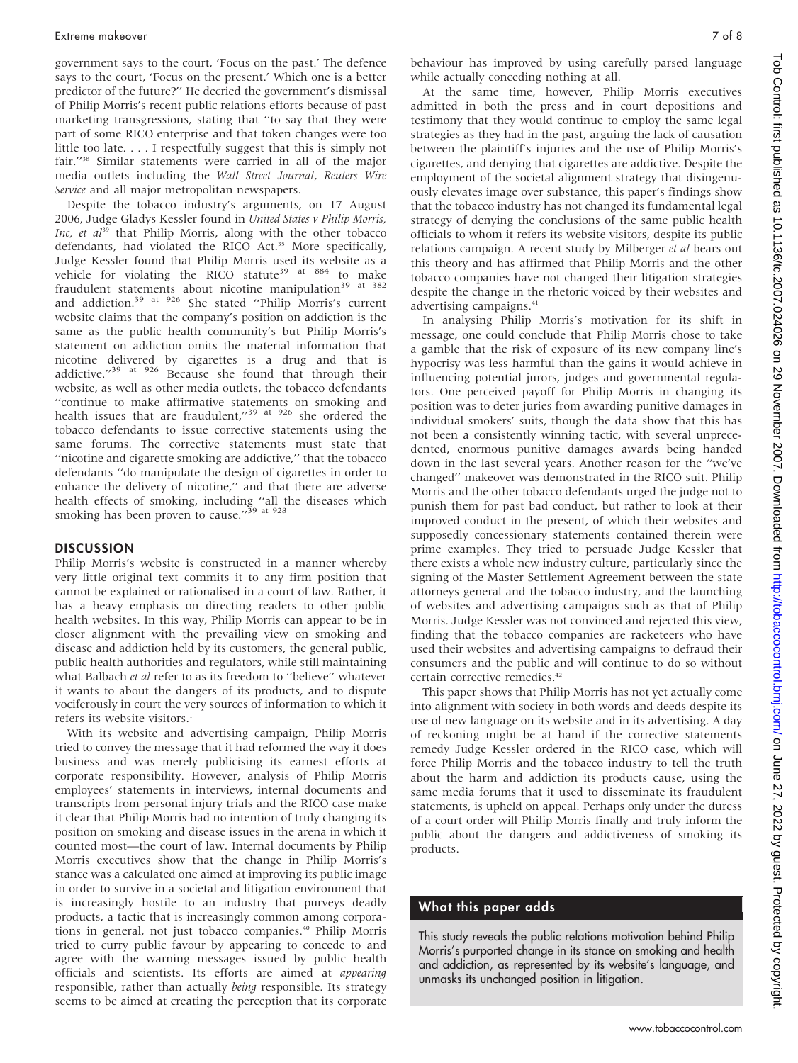#### Extreme makeover 7 of 8

government says to the court, 'Focus on the past.' The defence says to the court, 'Focus on the present.' Which one is a better predictor of the future?'' He decried the government's dismissal of Philip Morris's recent public relations efforts because of past marketing transgressions, stating that ''to say that they were part of some RICO enterprise and that token changes were too little too late. ...I respectfully suggest that this is simply not fair.''38 Similar statements were carried in all of the major media outlets including the Wall Street Journal, Reuters Wire Service and all major metropolitan newspapers.

Despite the tobacco industry's arguments, on 17 August 2006, Judge Gladys Kessler found in United States v Philip Morris, Inc, et  $al^{39}$  that Philip Morris, along with the other tobacco defendants, had violated the RICO Act.<sup>35</sup> More specifically, Judge Kessler found that Philip Morris used its website as a vehicle for violating the RICO statute<sup>39 at 884</sup> to make fraudulent statements about nicotine manipulation<sup>39 at 382</sup> and addiction.39 at 926 She stated ''Philip Morris's current website claims that the company's position on addiction is the same as the public health community's but Philip Morris's statement on addiction omits the material information that nicotine delivered by cigarettes is a drug and that is addictive."<sup>39 at 926</sup> Because she found that through their website, as well as other media outlets, the tobacco defendants ''continue to make affirmative statements on smoking and health issues that are fraudulent,"<sup>39 at 926</sup> she ordered the tobacco defendants to issue corrective statements using the same forums. The corrective statements must state that ''nicotine and cigarette smoking are addictive,'' that the tobacco defendants ''do manipulate the design of cigarettes in order to enhance the delivery of nicotine,'' and that there are adverse health effects of smoking, including ''all the diseases which smoking has been proven to cause."<sup>39 at 928</sup>

#### **DISCUSSION**

Philip Morris's website is constructed in a manner whereby very little original text commits it to any firm position that cannot be explained or rationalised in a court of law. Rather, it has a heavy emphasis on directing readers to other public health websites. In this way, Philip Morris can appear to be in closer alignment with the prevailing view on smoking and disease and addiction held by its customers, the general public, public health authorities and regulators, while still maintaining what Balbach et al refer to as its freedom to ''believe'' whatever it wants to about the dangers of its products, and to dispute vociferously in court the very sources of information to which it refers its website visitors.<sup>1</sup>

With its website and advertising campaign, Philip Morris tried to convey the message that it had reformed the way it does business and was merely publicising its earnest efforts at corporate responsibility. However, analysis of Philip Morris employees' statements in interviews, internal documents and transcripts from personal injury trials and the RICO case make it clear that Philip Morris had no intention of truly changing its position on smoking and disease issues in the arena in which it counted most—the court of law. Internal documents by Philip Morris executives show that the change in Philip Morris's stance was a calculated one aimed at improving its public image in order to survive in a societal and litigation environment that is increasingly hostile to an industry that purveys deadly products, a tactic that is increasingly common among corporations in general, not just tobacco companies.<sup>40</sup> Philip Morris tried to curry public favour by appearing to concede to and agree with the warning messages issued by public health officials and scientists. Its efforts are aimed at appearing responsible, rather than actually being responsible. Its strategy seems to be aimed at creating the perception that its corporate

behaviour has improved by using carefully parsed language while actually conceding nothing at all.

At the same time, however, Philip Morris executives admitted in both the press and in court depositions and testimony that they would continue to employ the same legal strategies as they had in the past, arguing the lack of causation between the plaintiff's injuries and the use of Philip Morris's cigarettes, and denying that cigarettes are addictive. Despite the employment of the societal alignment strategy that disingenuously elevates image over substance, this paper's findings show that the tobacco industry has not changed its fundamental legal strategy of denying the conclusions of the same public health officials to whom it refers its website visitors, despite its public relations campaign. A recent study by Milberger et al bears out this theory and has affirmed that Philip Morris and the other tobacco companies have not changed their litigation strategies despite the change in the rhetoric voiced by their websites and advertising campaigns.<sup>41</sup>

In analysing Philip Morris's motivation for its shift in message, one could conclude that Philip Morris chose to take a gamble that the risk of exposure of its new company line's hypocrisy was less harmful than the gains it would achieve in influencing potential jurors, judges and governmental regulators. One perceived payoff for Philip Morris in changing its position was to deter juries from awarding punitive damages in individual smokers' suits, though the data show that this has not been a consistently winning tactic, with several unprecedented, enormous punitive damages awards being handed down in the last several years. Another reason for the ''we've changed'' makeover was demonstrated in the RICO suit. Philip Morris and the other tobacco defendants urged the judge not to punish them for past bad conduct, but rather to look at their improved conduct in the present, of which their websites and supposedly concessionary statements contained therein were prime examples. They tried to persuade Judge Kessler that there exists a whole new industry culture, particularly since the signing of the Master Settlement Agreement between the state attorneys general and the tobacco industry, and the launching of websites and advertising campaigns such as that of Philip Morris. Judge Kessler was not convinced and rejected this view, finding that the tobacco companies are racketeers who have used their websites and advertising campaigns to defraud their consumers and the public and will continue to do so without certain corrective remedies.<sup>42</sup>

This paper shows that Philip Morris has not yet actually come into alignment with society in both words and deeds despite its use of new language on its website and in its advertising. A day of reckoning might be at hand if the corrective statements remedy Judge Kessler ordered in the RICO case, which will force Philip Morris and the tobacco industry to tell the truth about the harm and addiction its products cause, using the same media forums that it used to disseminate its fraudulent statements, is upheld on appeal. Perhaps only under the duress of a court order will Philip Morris finally and truly inform the public about the dangers and addictiveness of smoking its products.

#### What this paper adds

This study reveals the public relations motivation behind Philip Morris's purported change in its stance on smoking and health and addiction, as represented by its website's language, and unmasks its unchanged position in litigation.